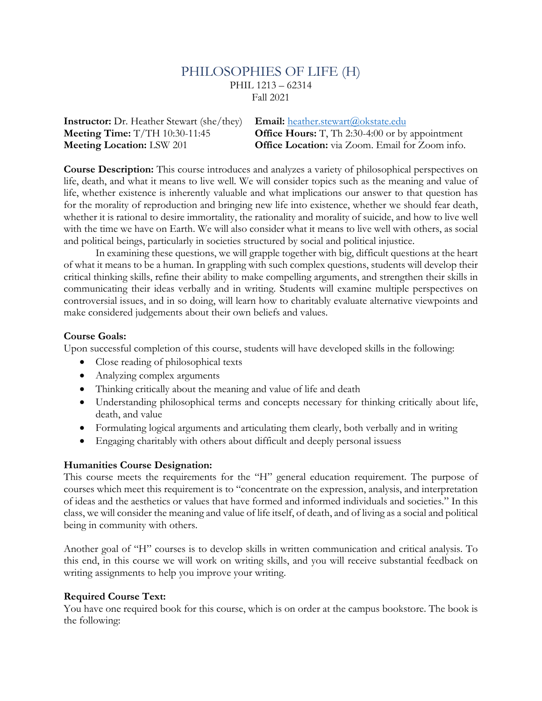# PHILOSOPHIES OF LIFE (H) PHIL 1213 – 62314

Fall 2021

**Instructor:** Dr. Heather Stewart (she/they) **Email:** heather.stewart@okstate.edu **Meeting Time:** T/TH 10:30-11:45 **Office Hours:** T, Th 2:30-4:00 or by appointment **Meeting Location:** LSW 201 **Office Location:** via Zoom. Email for Zoom info.

**Course Description:** This course introduces and analyzes a variety of philosophical perspectives on life, death, and what it means to live well. We will consider topics such as the meaning and value of life, whether existence is inherently valuable and what implications our answer to that question has for the morality of reproduction and bringing new life into existence, whether we should fear death, whether it is rational to desire immortality, the rationality and morality of suicide, and how to live well with the time we have on Earth. We will also consider what it means to live well with others, as social and political beings, particularly in societies structured by social and political injustice.

In examining these questions, we will grapple together with big, difficult questions at the heart of what it means to be a human. In grappling with such complex questions, students will develop their critical thinking skills, refine their ability to make compelling arguments, and strengthen their skills in communicating their ideas verbally and in writing. Students will examine multiple perspectives on controversial issues, and in so doing, will learn how to charitably evaluate alternative viewpoints and make considered judgements about their own beliefs and values.

#### **Course Goals:**

Upon successful completion of this course, students will have developed skills in the following:

- Close reading of philosophical texts
- Analyzing complex arguments
- Thinking critically about the meaning and value of life and death
- Understanding philosophical terms and concepts necessary for thinking critically about life, death, and value
- Formulating logical arguments and articulating them clearly, both verbally and in writing
- Engaging charitably with others about difficult and deeply personal issuess

#### **Humanities Course Designation:**

This course meets the requirements for the "H" general education requirement. The purpose of courses which meet this requirement is to "concentrate on the expression, analysis, and interpretation of ideas and the aesthetics or values that have formed and informed individuals and societies." In this class, we will consider the meaning and value of life itself, of death, and of living as a social and political being in community with others.

Another goal of "H" courses is to develop skills in written communication and critical analysis. To this end, in this course we will work on writing skills, and you will receive substantial feedback on writing assignments to help you improve your writing.

#### **Required Course Text:**

You have one required book for this course, which is on order at the campus bookstore. The book is the following: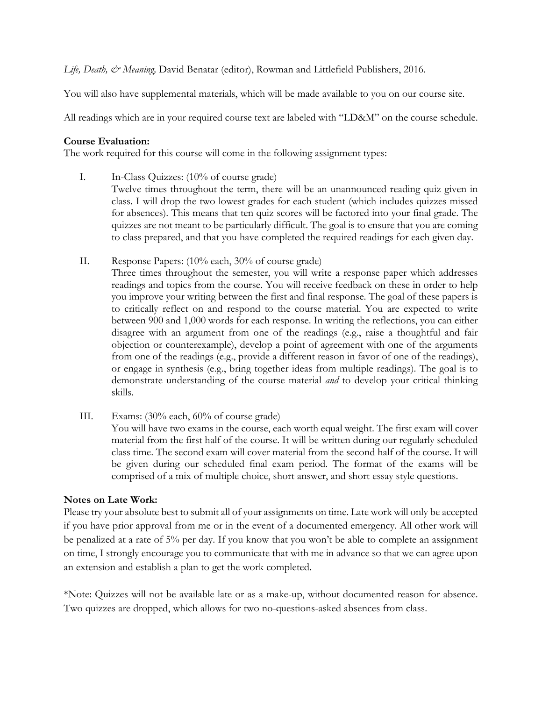*Life, Death, & Meaning,* David Benatar (editor), Rowman and Littlefield Publishers, 2016.

You will also have supplemental materials, which will be made available to you on our course site.

All readings which are in your required course text are labeled with "LD&M" on the course schedule.

#### **Course Evaluation:**

The work required for this course will come in the following assignment types:

- I. In-Class Quizzes: (10% of course grade)
	- Twelve times throughout the term, there will be an unannounced reading quiz given in class. I will drop the two lowest grades for each student (which includes quizzes missed for absences). This means that ten quiz scores will be factored into your final grade. The quizzes are not meant to be particularly difficult. The goal is to ensure that you are coming to class prepared, and that you have completed the required readings for each given day.
- II. Response Papers: (10% each, 30% of course grade)

Three times throughout the semester, you will write a response paper which addresses readings and topics from the course. You will receive feedback on these in order to help you improve your writing between the first and final response. The goal of these papers is to critically reflect on and respond to the course material. You are expected to write between 900 and 1,000 words for each response. In writing the reflections, you can either disagree with an argument from one of the readings (e.g., raise a thoughtful and fair objection or counterexample), develop a point of agreement with one of the arguments from one of the readings (e.g., provide a different reason in favor of one of the readings), or engage in synthesis (e.g., bring together ideas from multiple readings). The goal is to demonstrate understanding of the course material *and* to develop your critical thinking skills.

III. Exams: (30% each, 60% of course grade)

You will have two exams in the course, each worth equal weight. The first exam will cover material from the first half of the course. It will be written during our regularly scheduled class time. The second exam will cover material from the second half of the course. It will be given during our scheduled final exam period. The format of the exams will be comprised of a mix of multiple choice, short answer, and short essay style questions.

#### **Notes on Late Work:**

Please try your absolute best to submit all of your assignments on time. Late work will only be accepted if you have prior approval from me or in the event of a documented emergency. All other work will be penalized at a rate of 5% per day. If you know that you won't be able to complete an assignment on time, I strongly encourage you to communicate that with me in advance so that we can agree upon an extension and establish a plan to get the work completed.

\*Note: Quizzes will not be available late or as a make-up, without documented reason for absence. Two quizzes are dropped, which allows for two no-questions-asked absences from class.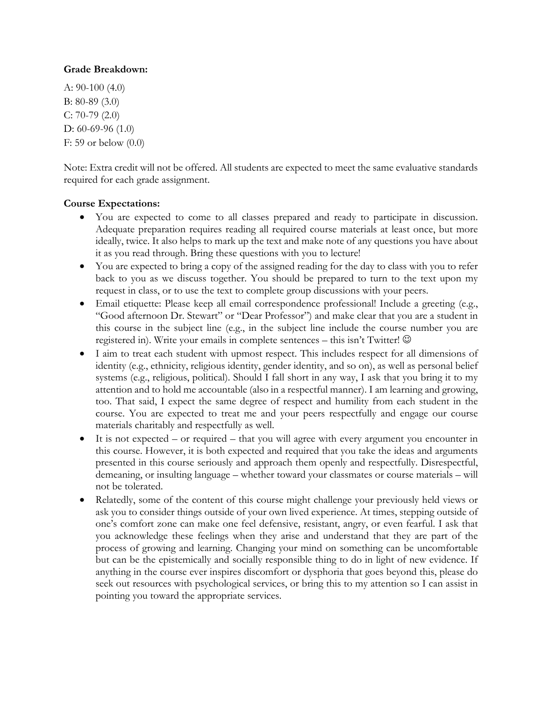#### **Grade Breakdown:**

A: 90-100 (4.0) B: 80-89 (3.0) C: 70-79 (2.0) D: 60-69-96 (1.0) F: 59 or below (0.0)

Note: Extra credit will not be offered. All students are expected to meet the same evaluative standards required for each grade assignment.

## **Course Expectations:**

- You are expected to come to all classes prepared and ready to participate in discussion. Adequate preparation requires reading all required course materials at least once, but more ideally, twice. It also helps to mark up the text and make note of any questions you have about it as you read through. Bring these questions with you to lecture!
- You are expected to bring a copy of the assigned reading for the day to class with you to refer back to you as we discuss together. You should be prepared to turn to the text upon my request in class, or to use the text to complete group discussions with your peers.
- Email etiquette: Please keep all email correspondence professional! Include a greeting (e.g., "Good afternoon Dr. Stewart" or "Dear Professor") and make clear that you are a student in this course in the subject line (e.g., in the subject line include the course number you are registered in). Write your emails in complete sentences – this isn't Twitter!  $\odot$
- I aim to treat each student with upmost respect. This includes respect for all dimensions of identity (e.g., ethnicity, religious identity, gender identity, and so on), as well as personal belief systems (e.g., religious, political). Should I fall short in any way, I ask that you bring it to my attention and to hold me accountable (also in a respectful manner). I am learning and growing, too. That said, I expect the same degree of respect and humility from each student in the course. You are expected to treat me and your peers respectfully and engage our course materials charitably and respectfully as well.
- It is not expected or required that you will agree with every argument you encounter in this course. However, it is both expected and required that you take the ideas and arguments presented in this course seriously and approach them openly and respectfully. Disrespectful, demeaning, or insulting language – whether toward your classmates or course materials – will not be tolerated.
- Relatedly, some of the content of this course might challenge your previously held views or ask you to consider things outside of your own lived experience. At times, stepping outside of one's comfort zone can make one feel defensive, resistant, angry, or even fearful. I ask that you acknowledge these feelings when they arise and understand that they are part of the process of growing and learning. Changing your mind on something can be uncomfortable but can be the epistemically and socially responsible thing to do in light of new evidence. If anything in the course ever inspires discomfort or dysphoria that goes beyond this, please do seek out resources with psychological services, or bring this to my attention so I can assist in pointing you toward the appropriate services.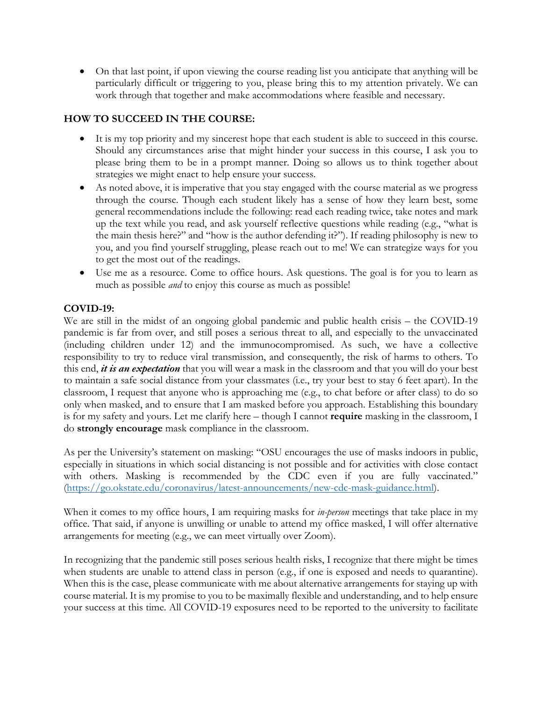• On that last point, if upon viewing the course reading list you anticipate that anything will be particularly difficult or triggering to you, please bring this to my attention privately. We can work through that together and make accommodations where feasible and necessary.

# **HOW TO SUCCEED IN THE COURSE:**

- It is my top priority and my sincerest hope that each student is able to succeed in this course. Should any circumstances arise that might hinder your success in this course, I ask you to please bring them to be in a prompt manner. Doing so allows us to think together about strategies we might enact to help ensure your success.
- As noted above, it is imperative that you stay engaged with the course material as we progress through the course. Though each student likely has a sense of how they learn best, some general recommendations include the following: read each reading twice, take notes and mark up the text while you read, and ask yourself reflective questions while reading (e.g., "what is the main thesis here?" and "how is the author defending it?"). If reading philosophy is new to you, and you find yourself struggling, please reach out to me! We can strategize ways for you to get the most out of the readings.
- Use me as a resource. Come to office hours. Ask questions. The goal is for you to learn as much as possible *and* to enjoy this course as much as possible!

## **COVID-19:**

We are still in the midst of an ongoing global pandemic and public health crisis – the COVID-19 pandemic is far from over, and still poses a serious threat to all, and especially to the unvaccinated (including children under 12) and the immunocompromised. As such, we have a collective responsibility to try to reduce viral transmission, and consequently, the risk of harms to others. To this end, *it is an expectation* that you will wear a mask in the classroom and that you will do your best to maintain a safe social distance from your classmates (i.e., try your best to stay 6 feet apart). In the classroom, I request that anyone who is approaching me (e.g., to chat before or after class) to do so only when masked, and to ensure that I am masked before you approach. Establishing this boundary is for my safety and yours. Let me clarify here – though I cannot **require** masking in the classroom, I do **strongly encourage** mask compliance in the classroom.

As per the University's statement on masking: "OSU encourages the use of masks indoors in public, especially in situations in which social distancing is not possible and for activities with close contact with others. Masking is recommended by the CDC even if you are fully vaccinated." (https://go.okstate.edu/coronavirus/latest-announcements/new-cdc-mask-guidance.html).

When it comes to my office hours, I am requiring masks for *in-person* meetings that take place in my office. That said, if anyone is unwilling or unable to attend my office masked, I will offer alternative arrangements for meeting (e.g., we can meet virtually over Zoom).

In recognizing that the pandemic still poses serious health risks, I recognize that there might be times when students are unable to attend class in person (e.g., if one is exposed and needs to quarantine). When this is the case, please communicate with me about alternative arrangements for staying up with course material. It is my promise to you to be maximally flexible and understanding, and to help ensure your success at this time. All COVID-19 exposures need to be reported to the university to facilitate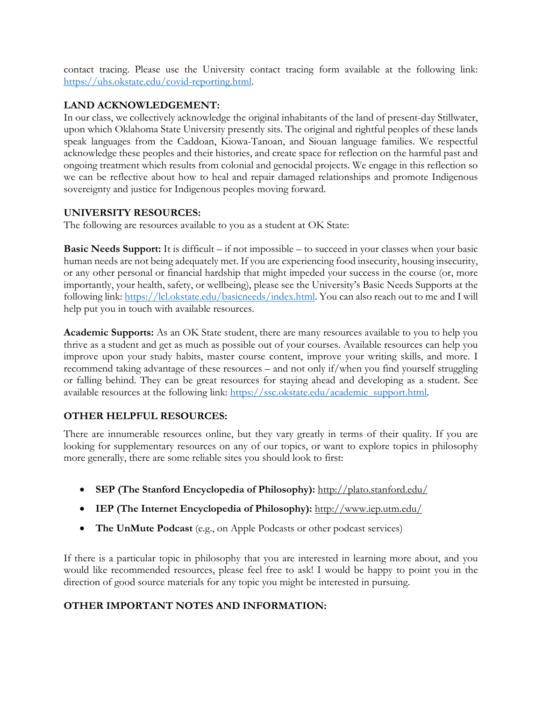contact tracing. Please use the University contact tracing form available at the following link: https://uhs.okstate.edu/covid-reporting.html.

#### **LAND ACKNOWLEDGEMENT:**

In our class, we collectively acknowledge the original inhabitants of the land of present-day Stillwater, upon which Oklahoma State University presently sits. The original and rightful peoples of these lands speak languages from the Caddoan, Kiowa-Tanoan, and Siouan language families. We respectful acknowledge these peoples and their histories, and create space for reflection on the harmful past and ongoing treatment which results from colonial and genocidal projects. We engage in this reflection so we can be reflective about how to heal and repair damaged relationships and promote Indigenous sovereignty and justice for Indigenous peoples moving forward.

#### **UNIVERSITY RESOURCES:**

The following are resources available to you as a student at OK State:

**Basic Needs Support:** It is difficult – if not impossible – to succeed in your classes when your basic human needs are not being adequately met. If you are experiencing food insecurity, housing insecurity, or any other personal or financial hardship that might impeded your success in the course (or, more importantly, your health, safety, or wellbeing), please see the University's Basic Needs Supports at the following link: https://lcl.okstate.edu/basicneeds/index.html. You can also reach out to me and I will help put you in touch with available resources.

**Academic Supports:** As an OK State student, there are many resources available to you to help you thrive as a student and get as much as possible out of your courses. Available resources can help you improve upon your study habits, master course content, improve your writing skills, and more. I recommend taking advantage of these resources – and not only if/when you find yourself struggling or falling behind. They can be great resources for staying ahead and developing as a student. See available resources at the following link: https://ssc.okstate.edu/academic\_support.html.

## **OTHER HELPFUL RESOURCES:**

There are innumerable resources online, but they vary greatly in terms of their quality. If you are looking for supplementary resources on any of our topics, or want to explore topics in philosophy more generally, there are some reliable sites you should look to first:

- **SEP (The Stanford Encyclopedia of Philosophy):** http://plato.stanford.edu/
- **IEP (The Internet Encyclopedia of Philosophy):** http://www.iep.utm.edu/
- **The UnMute Podcast** (e.g., on Apple Podcasts or other podcast services)

If there is a particular topic in philosophy that you are interested in learning more about, and you would like recommended resources, please feel free to ask! I would be happy to point you in the direction of good source materials for any topic you might be interested in pursuing.

# **OTHER IMPORTANT NOTES AND INFORMATION:**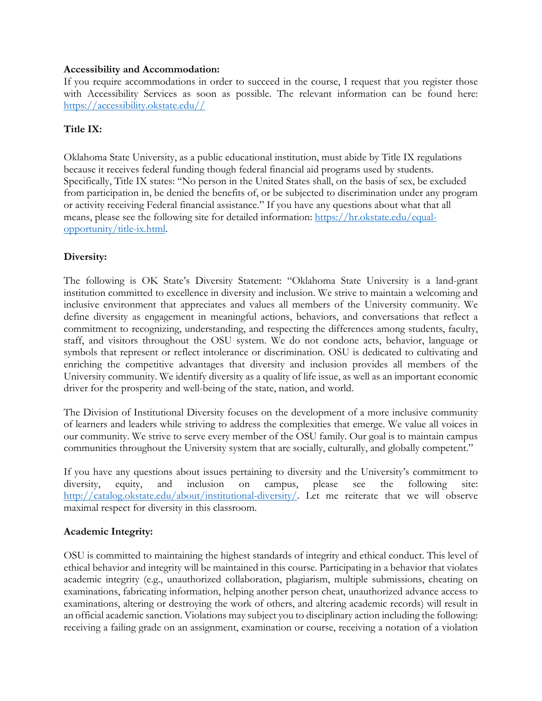#### **Accessibility and Accommodation:**

If you require accommodations in order to succeed in the course, I request that you register those with Accessibility Services as soon as possible. The relevant information can be found here: https://accessibility.okstate.edu//

#### **Title IX:**

Oklahoma State University, as a public educational institution, must abide by Title IX regulations because it receives federal funding though federal financial aid programs used by students. Specifically, Title IX states: "No person in the United States shall, on the basis of sex, be excluded from participation in, be denied the benefits of, or be subjected to discrimination under any program or activity receiving Federal financial assistance." If you have any questions about what that all means, please see the following site for detailed information: https://hr.okstate.edu/equalopportunity/title-ix.html.

#### **Diversity:**

The following is OK State's Diversity Statement: "Oklahoma State University is a land-grant institution committed to excellence in diversity and inclusion. We strive to maintain a welcoming and inclusive environment that appreciates and values all members of the University community. We define diversity as engagement in meaningful actions, behaviors, and conversations that reflect a commitment to recognizing, understanding, and respecting the differences among students, faculty, staff, and visitors throughout the OSU system. We do not condone acts, behavior, language or symbols that represent or reflect intolerance or discrimination. OSU is dedicated to cultivating and enriching the competitive advantages that diversity and inclusion provides all members of the University community. We identify diversity as a quality of life issue, as well as an important economic driver for the prosperity and well-being of the state, nation, and world.

The Division of Institutional Diversity focuses on the development of a more inclusive community of learners and leaders while striving to address the complexities that emerge. We value all voices in our community. We strive to serve every member of the OSU family. Our goal is to maintain campus communities throughout the University system that are socially, culturally, and globally competent."

If you have any questions about issues pertaining to diversity and the University's commitment to diversity, equity, and inclusion on campus, please see the following site: http://catalog.okstate.edu/about/institutional-diversity/. Let me reiterate that we will observe maximal respect for diversity in this classroom.

#### **Academic Integrity:**

OSU is committed to maintaining the highest standards of integrity and ethical conduct. This level of ethical behavior and integrity will be maintained in this course. Participating in a behavior that violates academic integrity (e.g., unauthorized collaboration, plagiarism, multiple submissions, cheating on examinations, fabricating information, helping another person cheat, unauthorized advance access to examinations, altering or destroying the work of others, and altering academic records) will result in an official academic sanction. Violations may subject you to disciplinary action including the following: receiving a failing grade on an assignment, examination or course, receiving a notation of a violation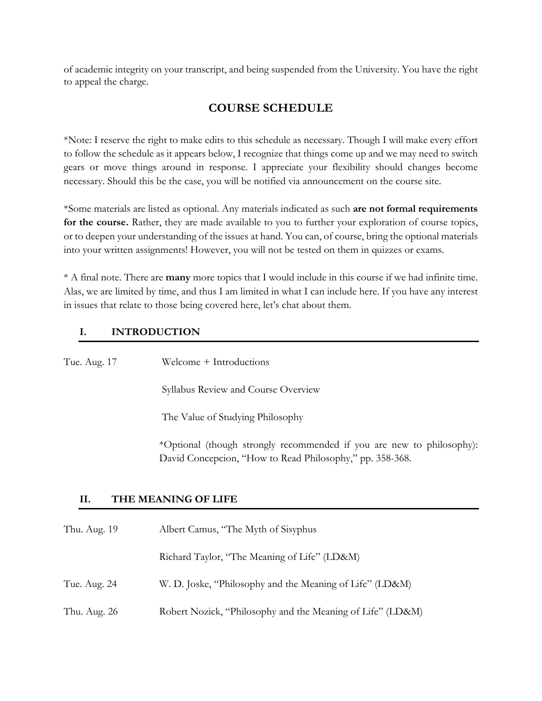of academic integrity on your transcript, and being suspended from the University. You have the right to appeal the charge.

# **COURSE SCHEDULE**

\*Note: I reserve the right to make edits to this schedule as necessary. Though I will make every effort to follow the schedule as it appears below, I recognize that things come up and we may need to switch gears or move things around in response. I appreciate your flexibility should changes become necessary. Should this be the case, you will be notified via announcement on the course site.

\*Some materials are listed as optional. Any materials indicated as such **are not formal requirements for the course.** Rather, they are made available to you to further your exploration of course topics, or to deepen your understanding of the issues at hand. You can, of course, bring the optional materials into your written assignments! However, you will not be tested on them in quizzes or exams.

\* A final note. There are **many** more topics that I would include in this course if we had infinite time. Alas, we are limited by time, and thus I am limited in what I can include here. If you have any interest in issues that relate to those being covered here, let's chat about them.

# **I. INTRODUCTION**

Tue. Aug. 17 Welcome + Introductions Syllabus Review and Course Overview The Value of Studying Philosophy \*Optional (though strongly recommended if you are new to philosophy): David Concepcion, "How to Read Philosophy," pp. 358-368. **II. THE MEANING OF LIFE**

# Thu. Aug. 19 Albert Camus, "The Myth of Sisyphus Richard Taylor, "The Meaning of Life" (LD&M) Tue. Aug. 24 W. D. Joske, "Philosophy and the Meaning of Life" (LD&M) Thu. Aug. 26 Robert Nozick, "Philosophy and the Meaning of Life" (LD&M)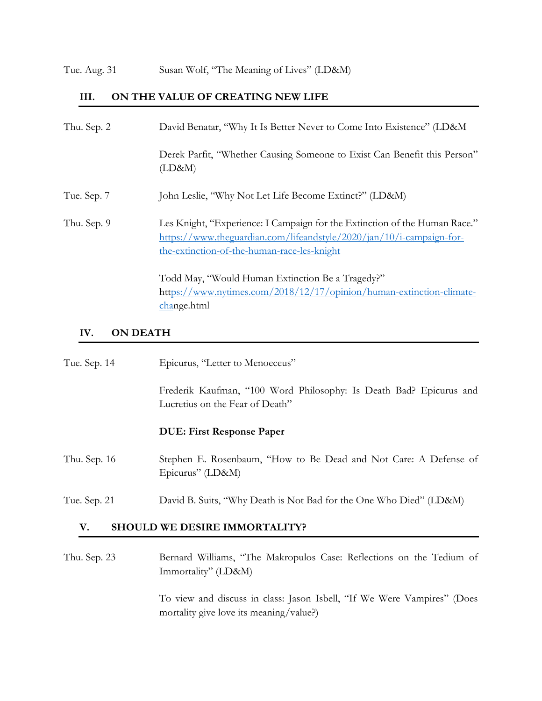#### **III. ON THE VALUE OF CREATING NEW LIFE**

| Thu. Sep. 2 | David Benatar, "Why It Is Better Never to Come Into Existence" (LD&M                                                                                                                              |
|-------------|---------------------------------------------------------------------------------------------------------------------------------------------------------------------------------------------------|
|             | Derek Parfit, "Whether Causing Someone to Exist Can Benefit this Person"<br>(LD&M)                                                                                                                |
| Tue. Sep. 7 | John Leslie, "Why Not Let Life Become Extinct?" (LD&M)                                                                                                                                            |
| Thu. Sep. 9 | Les Knight, "Experience: I Campaign for the Extinction of the Human Race."<br>https://www.theguardian.com/lifeandstyle/2020/jan/10/j-campaign-for-<br>the-extinction-of-the-human-race-les-knight |
|             | Todd May, "Would Human Extinction Be a Tragedy?"<br>https://www.nytimes.com/2018/12/17/opinion/human-extinction-climate-<br>change.html                                                           |

#### **IV. ON DEATH**

| Tue. Sep. 14 | Epicurus, "Letter to Menoeceus"                                                                       |
|--------------|-------------------------------------------------------------------------------------------------------|
|              | Frederik Kaufman, "100 Word Philosophy: Is Death Bad? Epicurus and<br>Lucretius on the Fear of Death" |
|              | <b>DUE: First Response Paper</b>                                                                      |
| Thu. Sep. 16 | Stephen E. Rosenbaum, "How to Be Dead and Not Care: A Defense of<br>Epicurus" (LD&M)                  |
| Tue. Sep. 21 | David B. Suits, "Why Death is Not Bad for the One Who Died" (LD&M)                                    |

# **V. SHOULD WE DESIRE IMMORTALITY?**

Thu. Sep. 23 Bernard Williams, "The Makropulos Case: Reflections on the Tedium of Immortality" (LD&M)

> To view and discuss in class: Jason Isbell, "If We Were Vampires" (Does mortality give love its meaning/value?)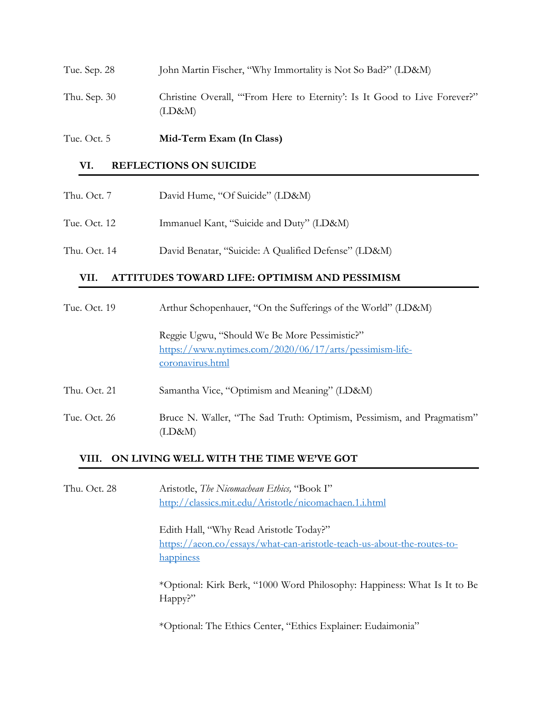| Tue. Oct. 5  | Mid-Term Exam (In Class)                                                           |
|--------------|------------------------------------------------------------------------------------|
| Thu. Sep. 30 | Christine Overall, "From Here to Eternity': Is It Good to Live Forever?"<br>(LD&M) |
| Tue. Sep. 28 | John Martin Fischer, "Why Immortality is Not So Bad?" (LD&M)                       |

#### **VI. REFLECTIONS ON SUICIDE**

| Thu. Oct. 7  | David Hume, "Of Suicide" (LD&M)          |
|--------------|------------------------------------------|
| Tue. Oct. 12 | Immanuel Kant, "Suicide and Duty" (LD&M) |

Thu. Oct. 14 David Benatar, "Suicide: A Qualified Defense" (LD&M)

## **VII. ATTITUDES TOWARD LIFE: OPTIMISM AND PESSIMISM**

| Tue. Oct. 19 | Arthur Schopenhauer, "On the Sufferings of the World" (LD&M)                                                                 |  |
|--------------|------------------------------------------------------------------------------------------------------------------------------|--|
|              | Reggie Ugwu, "Should We Be More Pessimistic?"<br>https://www.nytimes.com/2020/06/17/arts/pessimism-life-<br>coronavirus.html |  |
| Thu. Oct. 21 | Samantha Vice, "Optimism and Meaning" (LD&M)                                                                                 |  |
| Tue. Oct. 26 | Bruce N. Waller, "The Sad Truth: Optimism, Pessimism, and Pragmatism"<br>(LD&M)                                              |  |

#### **VIII. ON LIVING WELL WITH THE TIME WE'VE GOT**

Thu. Oct. 28 Aristotle, *The Nicomachean Ethics,* "Book I" http://classics.mit.edu/Aristotle/nicomachaen.1.i.html

> Edith Hall, "Why Read Aristotle Today?" https://aeon.co/essays/what-can-aristotle-teach-us-about-the-routes-tohappiness

\*Optional: Kirk Berk, "1000 Word Philosophy: Happiness: What Is It to Be Happy?"

\*Optional: The Ethics Center, "Ethics Explainer: Eudaimonia"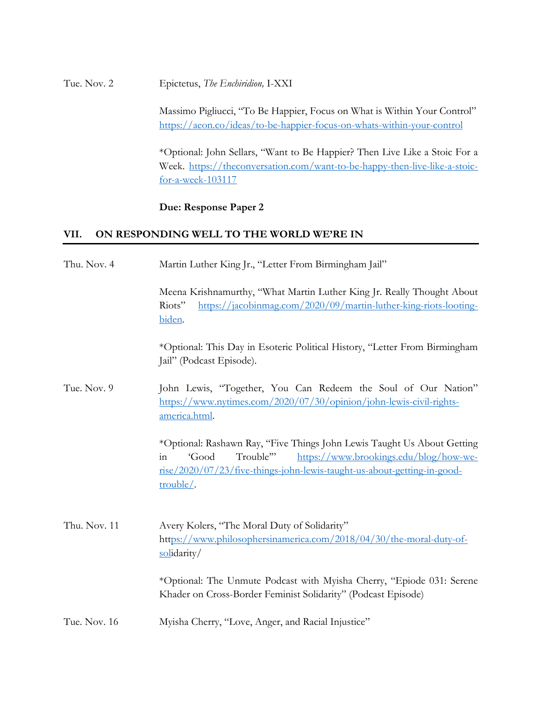Tue. Nov. 2 Epictetus, *The Enchiridion,* I-XXI

Massimo Pigliucci, "To Be Happier, Focus on What is Within Your Control" https://aeon.co/ideas/to-be-happier-focus-on-whats-within-your-control

\*Optional: John Sellars, "Want to Be Happier? Then Live Like a Stoic For a Week. https://theconversation.com/want-to-be-happy-then-live-like-a-stoicfor-a-week-103117

#### **Due: Response Paper 2**

#### **VII. ON RESPONDING WELL TO THE WORLD WE'RE IN**

| Thu. Nov. 4  | Martin Luther King Jr., "Letter From Birmingham Jail"                                                                                                                                                                                |
|--------------|--------------------------------------------------------------------------------------------------------------------------------------------------------------------------------------------------------------------------------------|
|              | Meena Krishnamurthy, "What Martin Luther King Jr. Really Thought About<br>https://jacobinmag.com/2020/09/martin-luther-king-riots-looting-<br>Riots"<br>biden.                                                                       |
|              | *Optional: This Day in Esoteric Political History, "Letter From Birmingham<br>Jail" (Podcast Episode).                                                                                                                               |
| Tue. Nov. 9  | John Lewis, "Together, You Can Redeem the Soul of Our Nation"<br>https://www.nytimes.com/2020/07/30/opinion/john-lewis-civil-rights-<br>america.html.                                                                                |
|              | *Optional: Rashawn Ray, "Five Things John Lewis Taught Us About Getting<br>Trouble"<br>'Good<br>https://www.brookings.edu/blog/how-we-<br>in<br>rise/2020/07/23/five-things-john-lewis-taught-us-about-getting-in-good-<br>trouble/. |
| Thu. Nov. 11 | Avery Kolers, "The Moral Duty of Solidarity"<br>https://www.philosophersinamerica.com/2018/04/30/the-moral-duty-of-<br>solidarity/                                                                                                   |
|              | *Optional: The Unmute Podcast with Myisha Cherry, "Epiode 031: Serene<br>Khader on Cross-Border Feminist Solidarity" (Podcast Episode)                                                                                               |
| Tue. Nov. 16 | Myisha Cherry, "Love, Anger, and Racial Injustice"                                                                                                                                                                                   |